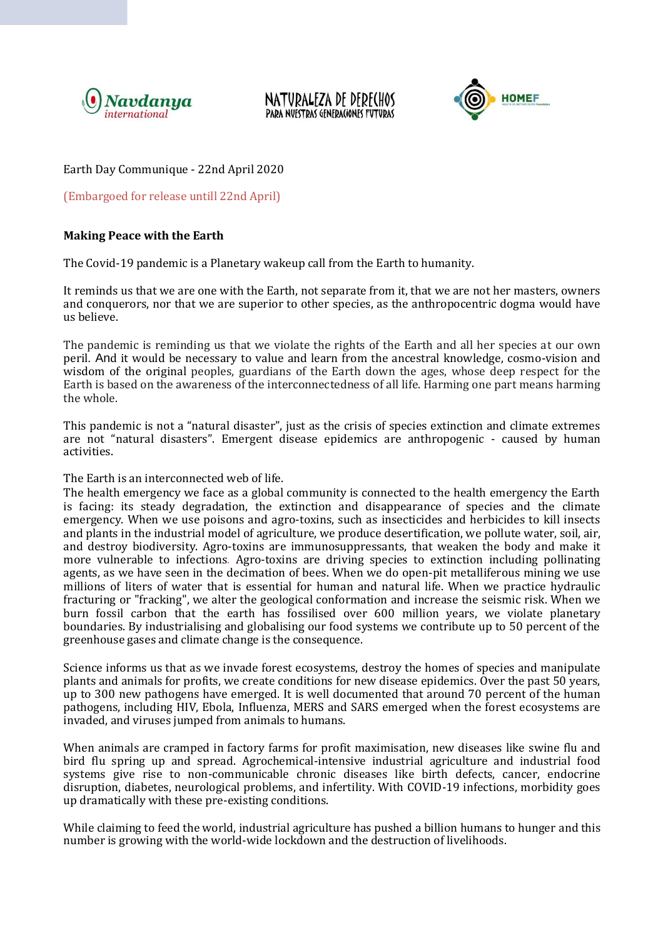

NATURALEZA DE DERECHOS PARA NVESTRAS GENERACIONES FUTURAS



# Earth Day Communique - 22nd April 2020

(Embargoed for release untill 22nd April)

# **Making Peace with the Earth**

The Covid-19 pandemic is a Planetary wakeup call from the Earth to humanity.

It reminds us that we are one with the Earth, not separate from it, that we are not her masters, owners and conquerors, nor that we are superior to other species, as the anthropocentric dogma would have us believe.

The pandemic is reminding us that we violate the rights of the Earth and all her species at our own peril*.* And it would be necessary to value and learn from the ancestral knowledge, cosmo-vision and wisdom of the original peoples, guardians of the Earth down the ages, whose deep respect for the Earth is based on the awareness of the interconnectedness of all life. Harming one part means harming the whole.

This pandemic is not a "natural disaster", just as the crisis of species extinction and climate extremes are not "natural disasters". Emergent disease epidemics are anthropogenic - caused by human activities.

The Earth is an interconnected web of life.

The health emergency we face as a global community is connected to the health emergency the Earth is facing: its steady degradation, the extinction and disappearance of species and the climate emergency. When we use poisons and agro-toxins, such as insecticides and herbicides to kill insects and plants in the industrial model of agriculture, we produce desertification, we pollute water, soil, air, and destroy biodiversity. Agro-toxins are immunosuppressants, that weaken the body and make it more vulnerable to infections. Agro-toxins are driving species to extinction including pollinating agents, as we have seen in the decimation of bees. When we do open-pit metalliferous mining we use millions of liters of water that is essential for human and natural life. When we practice hydraulic fracturing or "fracking", we alter the geological conformation and increase the seismic risk. When we burn fossil carbon that the earth has fossilised over 600 million years, we violate planetary boundaries. By industrialising and globalising our food systems we contribute up to 50 percent of the greenhouse gases and climate change is the consequence.

Science informs us that as we invade forest ecosystems, destroy the homes of species and manipulate plants and animals for profits, we create conditions for new disease epidemics. Over the past 50 years, up to 300 new pathogens have emerged. It is well documented that around 70 percent of the human pathogens, including HIV, Ebola, Influenza, MERS and SARS emerged when the forest ecosystems are invaded, and viruses jumped from animals to humans.

When animals are cramped in factory farms for profit maximisation, new diseases like swine flu and bird flu spring up and spread. Agrochemical-intensive industrial agriculture and industrial food systems give rise to non-communicable chronic diseases like birth defects, cancer, endocrine disruption, diabetes, neurological problems, and infertility. With COVID-19 infections, morbidity goes up dramatically with these pre-existing conditions.

While claiming to feed the world, industrial agriculture has pushed a billion humans to hunger and this number is growing with the world-wide lockdown and the destruction of livelihoods.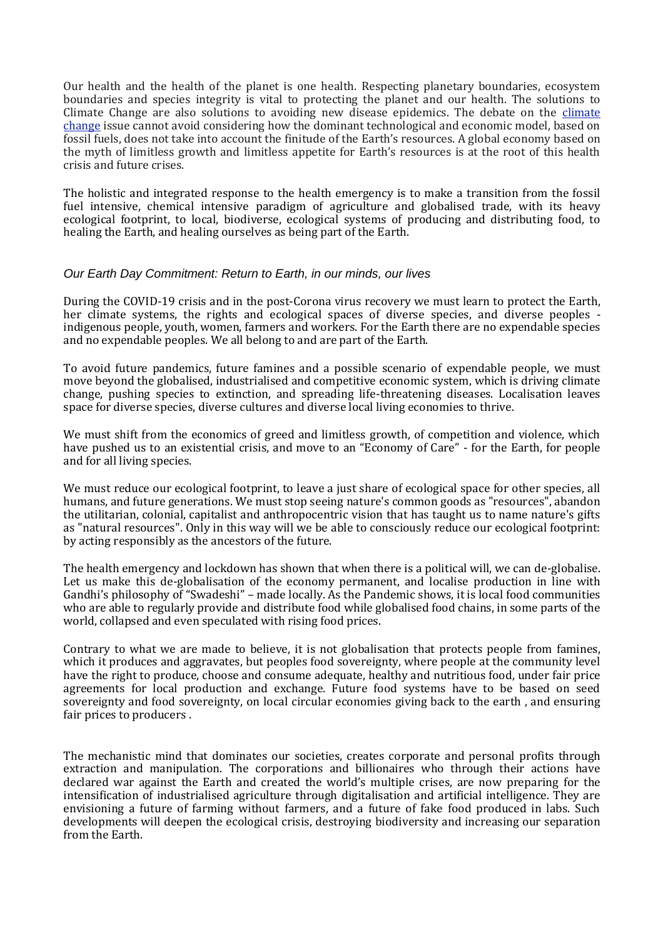Our health and the health of the planet is one health. Respecting planetary boundaries, ecosystem boundaries and species integrity is vital to protecting the planet and our health. The solutions to Climate Change are also solutions to avoiding new disease epidemics. The debate on the [climate](https://navdanyainternational.org/key-issues/climate-resilience/) [change](https://navdanyainternational.org/key-issues/climate-resilience/) issue cannot avoid considering how the dominant technological and economic model, based on fossil fuels, does not take into account the finitude of the Earth's resources. A global economy based on the myth of limitless growth and limitless appetite for Earth's resources is at the root of this health crisis and future crises.

The holistic and integrated response to the health emergency is to make a transition from the fossil fuel intensive, chemical intensive paradigm of agriculture and globalised trade, with its heavy ecological footprint, to local, biodiverse, ecological systems of producing and distributing food, to healing the Earth, and healing ourselves as being part of the Earth.

### *Our Earth Day Commitment: Return to Earth, in our minds, our lives*

During the COVID-19 crisis and in the post-Corona virus recovery we must learn to protect the Earth, her climate systems, the rights and ecological spaces of diverse species, and diverse peoples indigenous people, youth, women, farmers and workers. For the Earth there are no expendable species and no expendable peoples. We all belong to and are part of the Earth.

To avoid future pandemics, future famines and a possible scenario of expendable people, we must move beyond the globalised, industrialised and competitive economic system, which is driving climate change, pushing species to extinction, and spreading life-threatening diseases. Localisation leaves space for diverse species, diverse cultures and diverse local living economies to thrive.

We must shift from the economics of greed and limitless growth, of competition and violence, which have pushed us to an existential crisis, and move to an "Economy of Care" - for the Earth, for people and for all living species.

We must reduce our ecological footprint, to leave a just share of ecological space for other species, all humans, and future generations. We must stop seeing nature's common goods as "resources", abandon the utilitarian, colonial, capitalist and anthropocentric vision that has taught us to name nature's gifts as "natural resources". Only in this way will we be able to consciously reduce our ecological footprint: by acting responsibly as the ancestors of the future.

The health emergency and lockdown has shown that when there is a political will, we can de-globalise. Let us make this de-globalisation of the economy permanent, and localise production in line with Gandhi's philosophy of "Swadeshi" – made locally. As the Pandemic shows, it is local food communities who are able to regularly provide and distribute food while globalised food chains, in some parts of the world, collapsed and even speculated with rising food prices.

Contrary to what we are made to believe, it is not globalisation that protects people from famines, which it produces and aggravates, but peoples food sovereignty, where people at the community level have the right to produce, choose and consume adequate, healthy and nutritious food, under fair price agreements for local production and exchange. Future food systems have to be based on seed sovereignty and food sovereignty, on local circular economies giving back to the earth , and ensuring fair prices to producers .

The mechanistic mind that dominates our societies, creates corporate and personal profits through extraction and manipulation. The corporations and billionaires who through their actions have declared war against the Earth and created the world's multiple crises, are now preparing for the intensification of industrialised agriculture through digitalisation and artificial intelligence. They are envisioning a future of farming without farmers, and a future of fake food produced in labs. Such developments will deepen the ecological crisis, destroying biodiversity and increasing our separation from the Earth.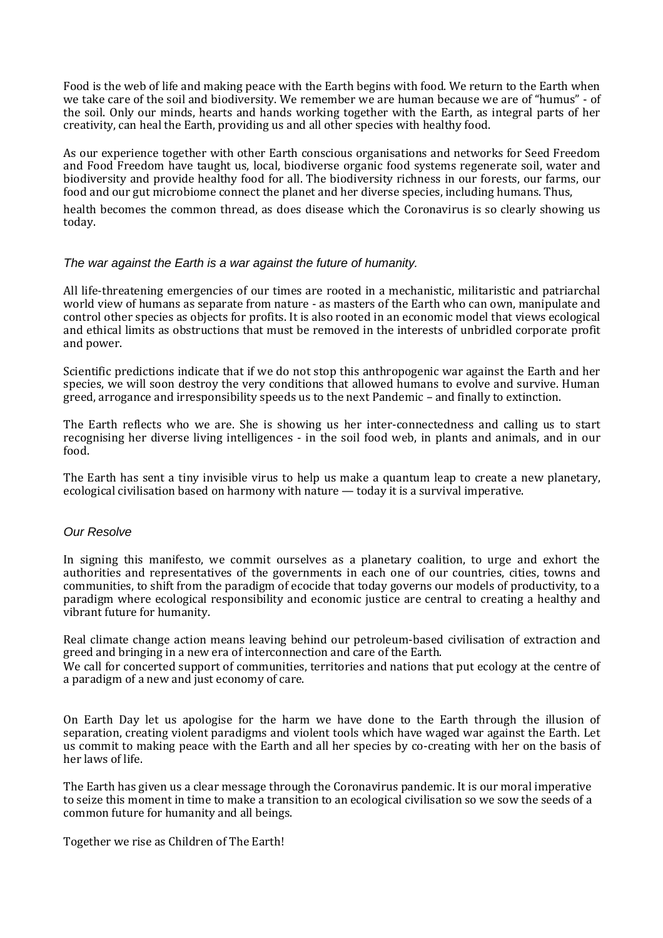Food is the web of life and making peace with the Earth begins with food. We return to the Earth when we take care of the soil and biodiversity. We remember we are human because we are of "humus" - of the soil. Only our minds, hearts and hands working together with the Earth, as integral parts of her creativity, can heal the Earth, providing us and all other species with healthy food.

As our experience together with other Earth conscious organisations and networks for Seed Freedom and Food Freedom have taught us, local, biodiverse organic food systems regenerate soil, water and biodiversity and provide healthy food for all. The biodiversity richness in our forests, our farms, our food and our gut microbiome connect the planet and her diverse species, including humans. Thus,

health becomes the common thread, as does disease which the Coronavirus is so clearly showing us today.

### *The war against the Earth is a war against the future of humanity.*

All life-threatening emergencies of our times are rooted in a mechanistic, militaristic and patriarchal world view of humans as separate from nature - as masters of the Earth who can own, manipulate and control other species as objects for profits. It is also rooted in an economic model that views ecological and ethical limits as obstructions that must be removed in the interests of unbridled corporate profit and power.

Scientific predictions indicate that if we do not stop this anthropogenic war against the Earth and her species, we will soon destroy the very conditions that allowed humans to evolve and survive. Human greed, arrogance and irresponsibility speeds us to the next Pandemic – and finally to extinction.

The Earth reflects who we are. She is showing us her inter-connectedness and calling us to start recognising her diverse living intelligences - in the soil food web, in plants and animals, and in our food.

The Earth has sent a tiny invisible virus to help us make a quantum leap to create a new planetary, ecological civilisation based on harmony with nature — today it is a survival imperative.

#### *Our Resolve*

In signing this manifesto, we commit ourselves as a planetary coalition, to urge and exhort the authorities and representatives of the governments in each one of our countries, cities, towns and communities, to shift from the paradigm of ecocide that today governs our models of productivity, to a paradigm where ecological responsibility and economic justice are central to creating a healthy and vibrant future for humanity.

Real climate change action means leaving behind our petroleum-based civilisation of extraction and greed and bringing in a new era of interconnection and care of the Earth.

We call for concerted support of communities, territories and nations that put ecology at the centre of a paradigm of a new and just economy of care.

On Earth Day let us apologise for the harm we have done to the Earth through the illusion of separation, creating violent paradigms and violent tools which have waged war against the Earth. Let us commit to making peace with the Earth and all her species by co-creating with her on the basis of her laws of life.

The Earth has given us a clear message through the Coronavirus pandemic. It is our moral imperative to seize this moment in time to make a transition to an ecological civilisation so we sow the seeds of a common future for humanity and all beings.

Together we rise as Children of The Earth!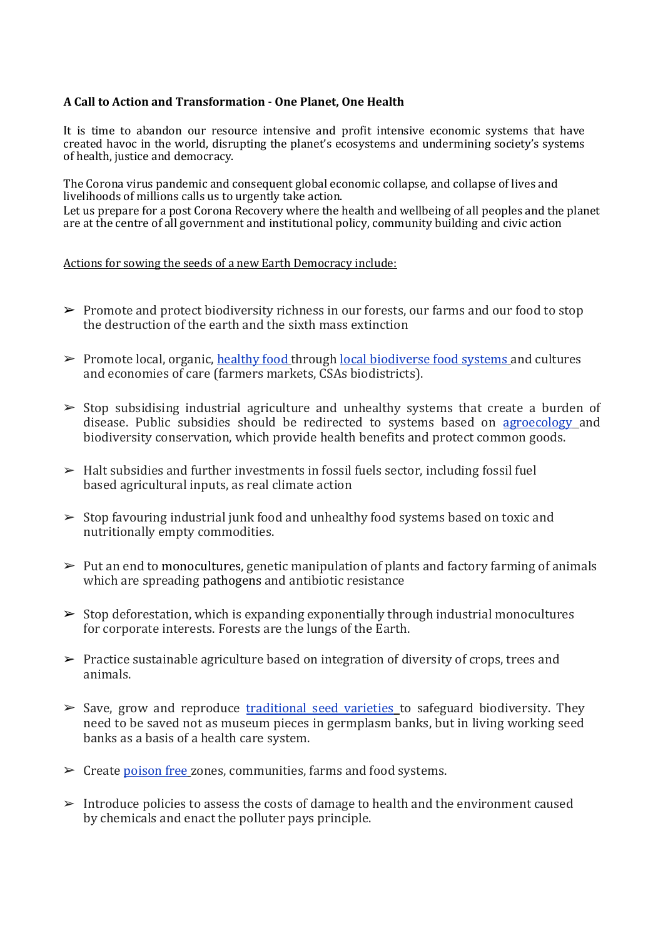# **A Call to Action and Transformation - One Planet, One Health**

It is time to abandon our resource intensive and profit intensive economic systems that have created havoc in the world, disrupting the planet's ecosystems and undermining society's systems of health, justice and democracy.

The Corona virus pandemic and consequent global economic collapse, and collapse of lives and livelihoods of millions calls us to urgently take action.

Let us prepare for a post Corona Recovery where the health and wellbeing of all peoples and the planet are at the centre of all government and institutional policy, community building and civic action

### Actions for sowing the seeds of a new Earth Democracy include:

- ➢ Promote and protect biodiversity richness in our forests, our farms and our food to stop the destruction of the earth and the sixth mass extinction
- ➢ Promote local, organic[, healthy food](https://navdanyainternational.org/key-issues/food-for-health/) through [local biodiverse food systems](https://navdanyainternational.org/cause/breads-of-freedom/) and cultures and economies of care (farmers markets, CSAs biodistricts).
- $\triangleright$  Stop subsidising industrial agriculture and unhealthy systems that create a burden of disease. Public subsidies should be redirected to systems based on [agroecology](https://navdanyainternational.org/key-issues/agroecology/) and biodiversity conservation, which provide health benefits and protect common goods.
- $\blacktriangleright$  Halt subsidies and further investments in fossil fuels sector, including fossil fuel based agricultural inputs, as real climate action
- ➢ Stop favouring industrial junk food and unhealthy food systems based on toxic and nutritionally empty commodities.
- $\triangleright$  Put an end to monocultures, genetic manipulation of plants and factory farming of animals which are spreading pathogens and antibiotic resistance
- $\triangleright$  Stop deforestation, which is expanding exponentially through industrial monocultures for corporate interests. Forests are the lungs of the Earth.
- $\triangleright$  Practice sustainable agriculture based on integration of diversity of crops, trees and animals.
- $\triangleright$  Save, grow and reproduce [traditional seed varieties](https://navdanyainternational.org/key-issues/seed-freedom/) to safeguard biodiversity. They need to be saved not as museum pieces in germplasm banks, but in living working seed banks as a basis of a health care system.
- $\triangleright$  Create [poison free](https://navdanyainternational.org/cause/poison-free-food-and-farming-2030/) zones, communities, farms and food systems.
- $\geq$  Introduce policies to assess the costs of damage to health and the environment caused by chemicals and enact the polluter pays principle.